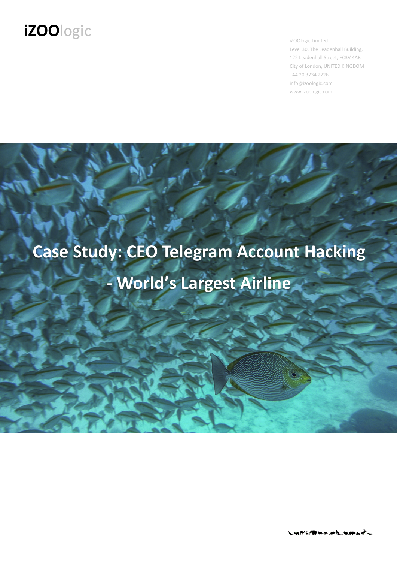iZOOlogic Limited Level 30, The Leadenhall Building, 122 Leadenhall Street, EC3V 4AB City of London, UNITED KINGDOM +44 20 3734 2726 info@izoologic.com www.izoologic.com

# **Case Study: CEO Telegram Account Hacking - World's Largest Airline**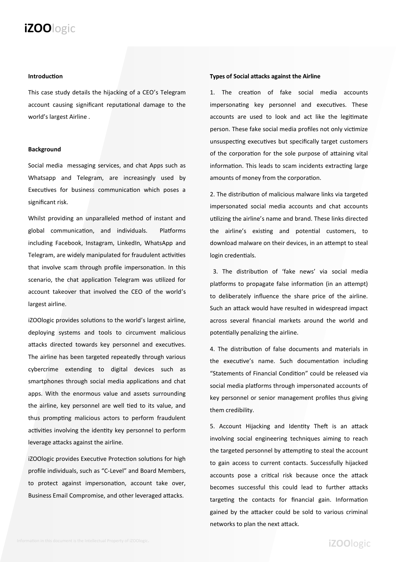#### **Introduction**

This case study details the hijacking of a CEO's Telegram account causing significant reputational damage to the world's largest Airline .

#### **Background**

Social media messaging services, and chat Apps such as Whatsapp and Telegram, are increasingly used by Executives for business communication which poses a significant risk.

Whilst providing an unparalleled method of instant and global communication, and individuals. Platforms including Facebook, Instagram, LinkedIn, WhatsApp and Telegram, are widely manipulated for fraudulent activities that involve scam through profile impersonation. In this scenario, the chat application Telegram was utilized for account takeover that involved the CEO of the world's largest airline.

iZOOlogic provides solutions to the world's largest airline, deploying systems and tools to circumvent malicious attacks directed towards key personnel and executives. The airline has been targeted repeatedly through various cybercrime extending to digital devices such as smartphones through social media applications and chat apps. With the enormous value and assets surrounding the airline, key personnel are well tied to its value, and thus prompting malicious actors to perform fraudulent activities involving the identity key personnel to perform leverage attacks against the airline.

iZOOlogic provides Executive Protection solutions for high profile individuals, such as "C-Level" and Board Members, to protect against impersonation, account take over, Business Email Compromise, and other leveraged attacks.

#### **of Social attacks against the Airline**

1. The creation of fake social media accounts impersonating key personnel and executives. These accounts are used to look and act like the legitimate person. These fake social media profiles not only victimize unsuspecting executives but specifically target customers of the corporation for the sole purpose of attaining vital information. This leads to scam incidents extracting large amounts of money from the corporation.

2. The distribution of malicious malware links via targeted impersonated social media accounts and chat accounts utilizing the airline's name and brand. These links directed the airline's existing and potential customers, to download malware on their devices, in an attempt to steal login credentials.

 3. The distribution of 'fake news' via social media platforms to propagate false information (in an attempt) to deliberately influence the share price of the airline. Such an attack would have resulted in widespread impact across several financial markets around the world and potentially penalizing the airline.

4. The distribution of false documents and materials in the executive's name. Such documentation including "Statements of Financial Condition" could be released via social media platforms through impersonated accounts of key personnel or senior management profiles thus giving them credibility.

5. Account Hijacking and Identity Theft is an attack involving social engineering techniques aiming to reach the targeted personnel by attempting to steal the account to gain access to current contacts. Successfully hijacked accounts pose a critical risk because once the attack becomes successful this could lead to further attacks targeting the contacts for financial gain. Information gained by the attacker could be sold to various criminal networks to plan the next attack.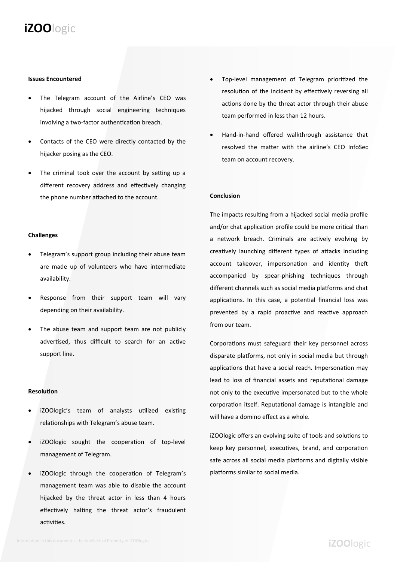#### **Issues Encountered**

- The Telegram account of the Airline's CEO was hijacked through social engineering techniques involving a two-factor authentication breach.
- Contacts of the CEO were directly contacted by the hijacker posing as the CEO.
- The criminal took over the account by setting up a different recovery address and effectively changing the phone number attached to the account.

#### **Challenges**

- Telegram's support group including their abuse team are made up of volunteers who have intermediate availability.
- Response from their support team will vary depending on their availability.
- The abuse team and support team are not publicly advertised, thus difficult to search for an active support line.

#### **Resolution**

- iZOOlogic's team of analysts utilized existing relationships with Telegram's abuse team.
- iZOOlogic sought the cooperation of top-level management of Telegram.
- iZOOlogic through the cooperation of Telegram's management team was able to disable the account hijacked by the threat actor in less than 4 hours effectively halting the threat actor's fraudulent activities.
- Top-level management of Telegram prioritized the resolution of the incident by effectively reversing all actions done by the threat actor through their abuse team performed in less than 12 hours.
- Hand-in-hand offered walkthrough assistance that resolved the matter with the airline's CEO InfoSec team on account recovery.

#### **Conclusion**

The impacts resulting from a hijacked social media profile and/or chat application profile could be more critical than a network breach. Criminals are actively evolving by creatively launching different types of attacks including account takeover, impersonation and identity theft accompanied by spear-phishing techniques through different channels such as social media platforms and chat applications. In this case, a potential financial loss was prevented by a rapid proactive and reactive approach from our team.

Corporations must safeguard their key personnel across disparate platforms, not only in social media but through applications that have a social reach. Impersonation may lead to loss of financial assets and reputational damage not only to the executive impersonated but to the whole corporation itself. Reputational damage is intangible and will have a domino effect as a whole.

iZOOlogic offers an evolving suite of tools and solutions to keep key personnel, executives, brand, and corporation safe across all social media platforms and digitally visible platforms similar to social media.